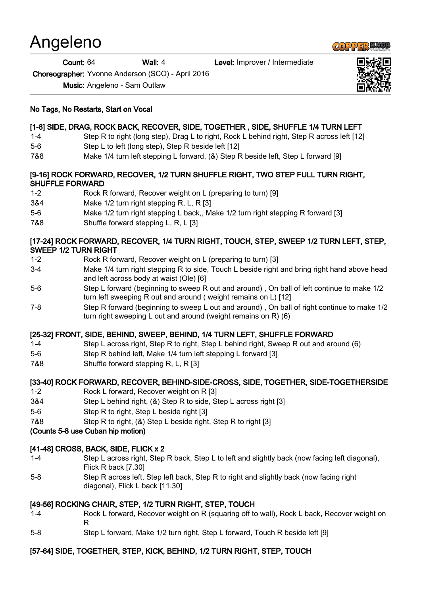# Angeleno

Count: 64 Wall: 4 Level: Improver / Intermediate

Choreographer: Yvonne Anderson (SCO) - April 2016

Music: Angeleno - Sam Outlaw

#### No Tags, No Restarts, Start on Vocal

# [1-8] SIDE, DRAG, ROCK BACK, RECOVER, SIDE, TOGETHER , SIDE, SHUFFLE 1/4 TURN LEFT

- 1-4 Step R to right (long step), Drag L to right, Rock L behind right, Step R across left [12]
- 5-6 Step L to left (long step), Step R beside left [12]
- 7&8 Make 1/4 turn left stepping L forward, (&) Step R beside left, Step L forward [9]

#### [9-16] ROCK FORWARD, RECOVER, 1/2 TURN SHUFFLE RIGHT, TWO STEP FULL TURN RIGHT, SHUFFLE FORWARD

- 1-2 Rock R forward, Recover weight on L (preparing to turn) [9]
- 3&4 Make 1/2 turn right stepping R, L, R [3]
- 5-6 Make 1/2 turn right stepping L back,, Make 1/2 turn right stepping R forward [3]
- 7&8 Shuffle forward stepping L, R, L [3]

#### [17-24] ROCK FORWARD, RECOVER, 1/4 TURN RIGHT, TOUCH, STEP, SWEEP 1/2 TURN LEFT, STEP, SWEEP 1/2 TURN RIGHT

- 1-2 Rock R forward, Recover weight on L (preparing to turn) [3]
- 3-4 Make 1/4 turn right stepping R to side, Touch L beside right and bring right hand above head and left across body at waist (Ole) [6]
- 5-6 Step L forward (beginning to sweep R out and around) , On ball of left continue to make 1/2 turn left sweeping R out and around ( weight remains on L) [12]
- 7-8 Step R forward (beginning to sweep L out and around) , On ball of right continue to make 1/2 turn right sweeping L out and around (weight remains on R) (6)

# [25-32] FRONT, SIDE, BEHIND, SWEEP, BEHIND, 1/4 TURN LEFT, SHUFFLE FORWARD

- 1-4 Step L across right, Step R to right, Step L behind right, Sweep R out and around (6)
- 5-6 Step R behind left, Make 1/4 turn left stepping L forward [3]
- 7&8 Shuffle forward stepping R, L, R [3]

# [33-40] ROCK FORWARD, RECOVER, BEHIND-SIDE-CROSS, SIDE, TOGETHER, SIDE-TOGETHERSIDE

- 1-2 Rock L forward, Recover weight on R [3]
- 3&4 Step L behind right, (&) Step R to side, Step L across right [3]
- 5-6 Step R to right, Step L beside right [3]
- 7&8 Step R to right, (&) Step L beside right, Step R to right [3]
- (Counts 5-8 use Cuban hip motion)

# [41-48] CROSS, BACK, SIDE, FLICK x 2

- 1-4 Step L across right, Step R back, Step L to left and slightly back (now facing left diagonal), Flick R back [7.30]
- 5-8 Step R across left, Step left back, Step R to right and slightly back (now facing right diagonal), Flick L back [11.30]

# [49-56] ROCKING CHAIR, STEP, 1/2 TURN RIGHT, STEP, TOUCH

- 1-4 Rock L forward, Recover weight on R (squaring off to wall), Rock L back, Recover weight on R
- 5-8 Step L forward, Make 1/2 turn right, Step L forward, Touch R beside left [9]

# [57-64] SIDE, TOGETHER, STEP, KICK, BEHIND, 1/2 TURN RIGHT, STEP, TOUCH